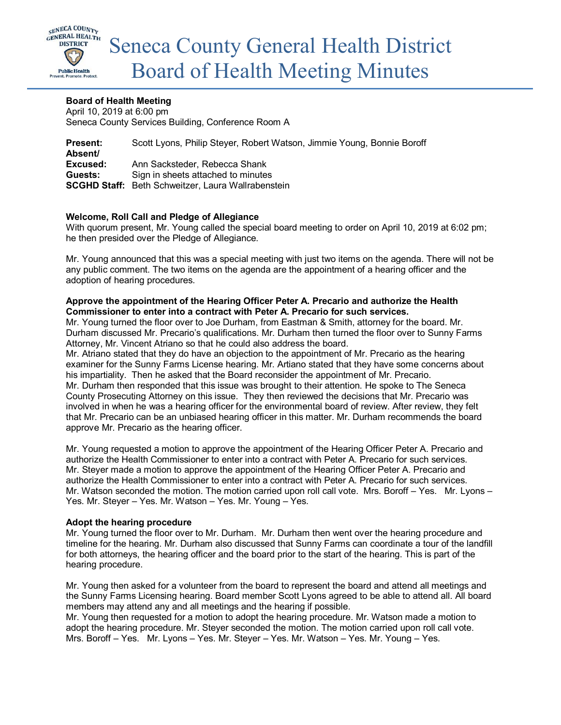

## **Board of Health Meeting**

April 10, 2019 at 6:00 pm Seneca County Services Building, Conference Room A

**Present:** Scott Lyons, Philip Steyer, Robert Watson, Jimmie Young, Bonnie Boroff **Absent/ Excused:** Ann Sacksteder, Rebecca Shank **Guests:** Sign in sheets attached to minutes **SCGHD Staff:** Beth Schweitzer, Laura Wallrabenstein

### **Welcome, Roll Call and Pledge of Allegiance**

With quorum present, Mr. Young called the special board meeting to order on April 10, 2019 at 6:02 pm; he then presided over the Pledge of Allegiance.

Mr. Young announced that this was a special meeting with just two items on the agenda. There will not be any public comment. The two items on the agenda are the appointment of a hearing officer and the adoption of hearing procedures.

#### **Approve the appointment of the Hearing Officer Peter A. Precario and authorize the Health Commissioner to enter into a contract with Peter A. Precario for such services.**

Mr. Young turned the floor over to Joe Durham, from Eastman & Smith, attorney for the board. Mr. Durham discussed Mr. Precario's qualifications. Mr. Durham then turned the floor over to Sunny Farms Attorney, Mr. Vincent Atriano so that he could also address the board.

Mr. Atriano stated that they do have an objection to the appointment of Mr. Precario as the hearing examiner for the Sunny Farms License hearing. Mr. Artiano stated that they have some concerns about his impartiality. Then he asked that the Board reconsider the appointment of Mr. Precario. Mr. Durham then responded that this issue was brought to their attention. He spoke to The Seneca County Prosecuting Attorney on this issue. They then reviewed the decisions that Mr. Precario was involved in when he was a hearing officer for the environmental board of review. After review, they felt that Mr. Precario can be an unbiased hearing officer in this matter. Mr. Durham recommends the board approve Mr. Precario as the hearing officer.

Mr. Young requested a motion to approve the appointment of the Hearing Officer Peter A. Precario and authorize the Health Commissioner to enter into a contract with Peter A. Precario for such services. Mr. Steyer made a motion to approve the appointment of the Hearing Officer Peter A. Precario and authorize the Health Commissioner to enter into a contract with Peter A. Precario for such services. Mr. Watson seconded the motion. The motion carried upon roll call vote. Mrs. Boroff – Yes. Mr. Lyons – Yes. Mr. Steyer – Yes. Mr. Watson – Yes. Mr. Young – Yes.

#### **Adopt the hearing procedure**

Mr. Young turned the floor over to Mr. Durham. Mr. Durham then went over the hearing procedure and timeline for the hearing. Mr. Durham also discussed that Sunny Farms can coordinate a tour of the landfill for both attorneys, the hearing officer and the board prior to the start of the hearing. This is part of the hearing procedure.

Mr. Young then asked for a volunteer from the board to represent the board and attend all meetings and the Sunny Farms Licensing hearing. Board member Scott Lyons agreed to be able to attend all. All board members may attend any and all meetings and the hearing if possible.

Mr. Young then requested for a motion to adopt the hearing procedure. Mr. Watson made a motion to adopt the hearing procedure. Mr. Steyer seconded the motion. The motion carried upon roll call vote. Mrs. Boroff – Yes. Mr. Lyons – Yes. Mr. Steyer – Yes. Mr. Watson – Yes. Mr. Young – Yes.